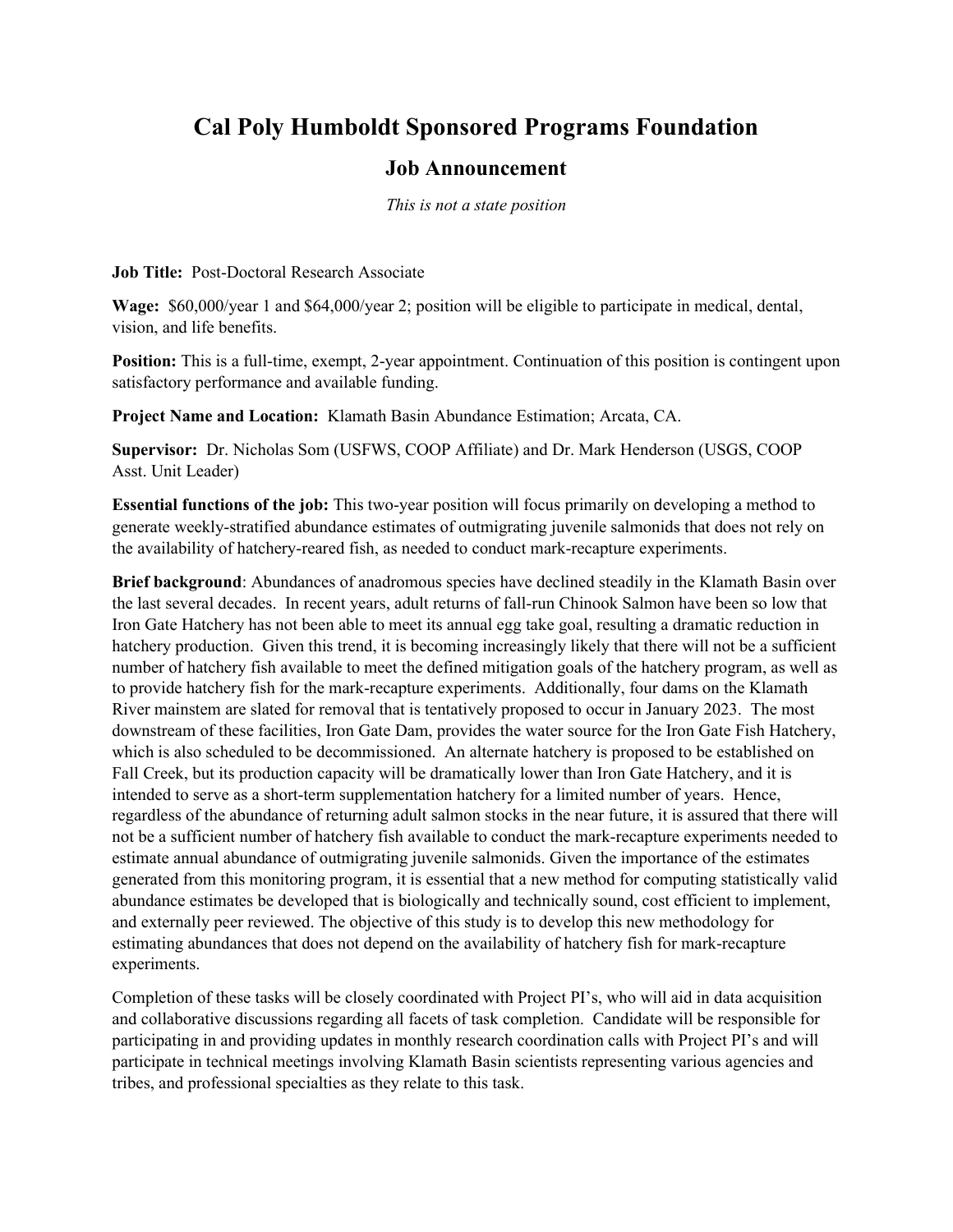## **Cal Poly Humboldt Sponsored Programs Foundation**

## **Job Announcement**

*This is not a state position*

**Job Title:** Post-Doctoral Research Associate

**Wage:** \$60,000/year 1 and \$64,000/year 2; position will be eligible to participate in medical, dental, vision, and life benefits.

**Position:** This is a full-time, exempt, 2-year appointment. Continuation of this position is contingent upon satisfactory performance and available funding.

**Project Name and Location:** Klamath Basin Abundance Estimation; Arcata, CA.

**Supervisor:** Dr. Nicholas Som (USFWS, COOP Affiliate) and Dr. Mark Henderson (USGS, COOP Asst. Unit Leader)

**Essential functions of the job:** This two-year position will focus primarily on developing a method to generate weekly-stratified abundance estimates of outmigrating juvenile salmonids that does not rely on the availability of hatchery-reared fish, as needed to conduct mark-recapture experiments.

**Brief background**: Abundances of anadromous species have declined steadily in the Klamath Basin over the last several decades. In recent years, adult returns of fall-run Chinook Salmon have been so low that Iron Gate Hatchery has not been able to meet its annual egg take goal, resulting a dramatic reduction in hatchery production. Given this trend, it is becoming increasingly likely that there will not be a sufficient number of hatchery fish available to meet the defined mitigation goals of the hatchery program, as well as to provide hatchery fish for the mark-recapture experiments. Additionally, four dams on the Klamath River mainstem are slated for removal that is tentatively proposed to occur in January 2023. The most downstream of these facilities, Iron Gate Dam, provides the water source for the Iron Gate Fish Hatchery, which is also scheduled to be decommissioned. An alternate hatchery is proposed to be established on Fall Creek, but its production capacity will be dramatically lower than Iron Gate Hatchery, and it is intended to serve as a short-term supplementation hatchery for a limited number of years. Hence, regardless of the abundance of returning adult salmon stocks in the near future, it is assured that there will not be a sufficient number of hatchery fish available to conduct the mark-recapture experiments needed to estimate annual abundance of outmigrating juvenile salmonids. Given the importance of the estimates generated from this monitoring program, it is essential that a new method for computing statistically valid abundance estimates be developed that is biologically and technically sound, cost efficient to implement, and externally peer reviewed. The objective of this study is to develop this new methodology for estimating abundances that does not depend on the availability of hatchery fish for mark-recapture experiments.

Completion of these tasks will be closely coordinated with Project PI's, who will aid in data acquisition and collaborative discussions regarding all facets of task completion. Candidate will be responsible for participating in and providing updates in monthly research coordination calls with Project PI's and will participate in technical meetings involving Klamath Basin scientists representing various agencies and tribes, and professional specialties as they relate to this task.